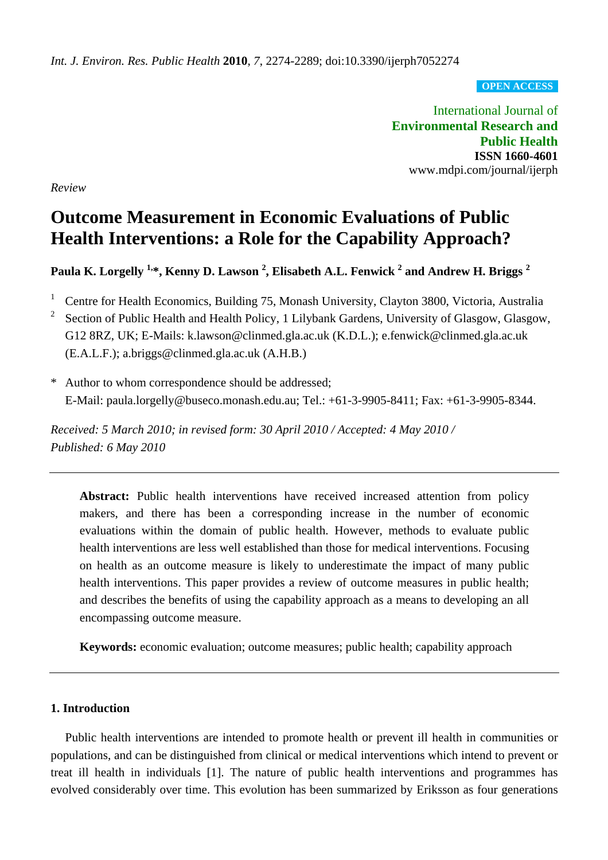*Int. J. Environ. Res. Public Health* **2010**, *7*, 2274-2289; doi:10.3390/ijerph7052274

**OPEN ACCESS**

International Journal of **Environmental Research and Public Health ISSN 1660-4601**  www.mdpi.com/journal/ijerph

*Review* 

# **Outcome Measurement in Economic Evaluations of Public Health Interventions: a Role for the Capability Approach?**

**Paula K. Lorgelly 1,\*, Kenny D. Lawson 2 , Elisabeth A.L. Fenwick 2 and Andrew H. Briggs <sup>2</sup>**

1 Centre for Health Economics, Building 75, Monash University, Clayton 3800, Victoria, Australia

- 2 Section of Public Health and Health Policy, 1 Lilybank Gardens, University of Glasgow, Glasgow, G12 8RZ, UK; E-Mails: k.lawson@clinmed.gla.ac.uk (K.D.L.); e.fenwick@clinmed.gla.ac.uk (E.A.L.F.); a.briggs@clinmed.gla.ac.uk (A.H.B.)
- \* Author to whom correspondence should be addressed; E-Mail: paula.lorgelly@buseco.monash.edu.au; Tel.: +61-3-9905-8411; Fax: +61-3-9905-8344.

*Received: 5 March 2010; in revised form: 30 April 2010 / Accepted: 4 May 2010 / Published: 6 May 2010* 

**Abstract:** Public health interventions have received increased attention from policy makers, and there has been a corresponding increase in the number of economic evaluations within the domain of public health. However, methods to evaluate public health interventions are less well established than those for medical interventions. Focusing on health as an outcome measure is likely to underestimate the impact of many public health interventions. This paper provides a review of outcome measures in public health; and describes the benefits of using the capability approach as a means to developing an all encompassing outcome measure.

**Keywords:** economic evaluation; outcome measures; public health; capability approach

#### **1. Introduction**

Public health interventions are intended to promote health or prevent ill health in communities or populations, and can be distinguished from clinical or medical interventions which intend to prevent or treat ill health in individuals [1]. The nature of public health interventions and programmes has evolved considerably over time. This evolution has been summarized by Eriksson as four generations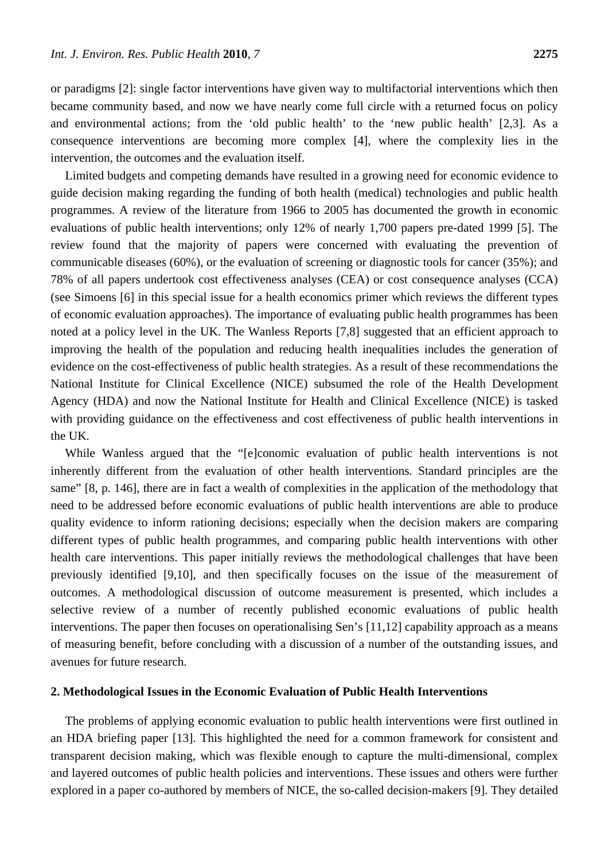or paradigms [2]: single factor interventions have given way to multifactorial interventions which then became community based, and now we have nearly come full circle with a returned focus on policy and environmental actions; from the 'old public health' to the 'new public health' [2,3]. As a consequence interventions are becoming more complex [4], where the complexity lies in the intervention, the outcomes and the evaluation itself.

Limited budgets and competing demands have resulted in a growing need for economic evidence to guide decision making regarding the funding of both health (medical) technologies and public health programmes. A review of the literature from 1966 to 2005 has documented the growth in economic evaluations of public health interventions; only 12% of nearly 1,700 papers pre-dated 1999 [5]. The review found that the majority of papers were concerned with evaluating the prevention of communicable diseases (60%), or the evaluation of screening or diagnostic tools for cancer (35%); and 78% of all papers undertook cost effectiveness analyses (CEA) or cost consequence analyses (CCA) (see Simoens [6] in this special issue for a health economics primer which reviews the different types of economic evaluation approaches). The importance of evaluating public health programmes has been noted at a policy level in the UK. The Wanless Reports [7,8] suggested that an efficient approach to improving the health of the population and reducing health inequalities includes the generation of evidence on the cost-effectiveness of public health strategies. As a result of these recommendations the National Institute for Clinical Excellence (NICE) subsumed the role of the Health Development Agency (HDA) and now the National Institute for Health and Clinical Excellence (NICE) is tasked with providing guidance on the effectiveness and cost effectiveness of public health interventions in the UK.

While Wanless argued that the "[e]conomic evaluation of public health interventions is not inherently different from the evaluation of other health interventions. Standard principles are the same" [8, p. 146], there are in fact a wealth of complexities in the application of the methodology that need to be addressed before economic evaluations of public health interventions are able to produce quality evidence to inform rationing decisions; especially when the decision makers are comparing different types of public health programmes, and comparing public health interventions with other health care interventions. This paper initially reviews the methodological challenges that have been previously identified [9,10], and then specifically focuses on the issue of the measurement of outcomes. A methodological discussion of outcome measurement is presented, which includes a selective review of a number of recently published economic evaluations of public health interventions. The paper then focuses on operationalising Sen's [11,12] capability approach as a means of measuring benefit, before concluding with a discussion of a number of the outstanding issues, and avenues for future research.

#### **2. Methodological Issues in the Economic Evaluation of Public Health Interventions**

The problems of applying economic evaluation to public health interventions were first outlined in an HDA briefing paper [13]. This highlighted the need for a common framework for consistent and transparent decision making, which was flexible enough to capture the multi-dimensional, complex and layered outcomes of public health policies and interventions. These issues and others were further explored in a paper co-authored by members of NICE, the so-called decision-makers [9]. They detailed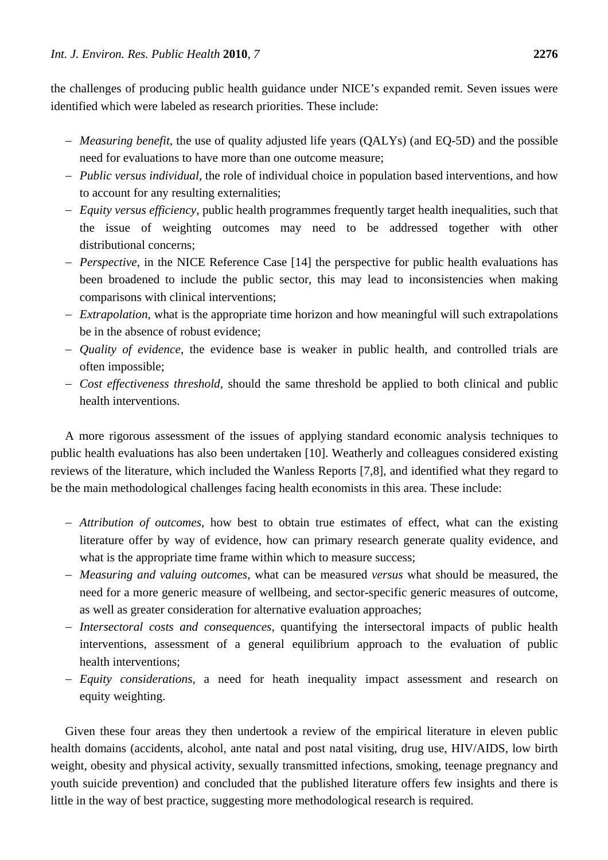the challenges of producing public health guidance under NICE's expanded remit. Seven issues were identified which were labeled as research priorities. These include:

- *Measuring benefit*, the use of quality adjusted life years (QALYs) (and EQ-5D) and the possible need for evaluations to have more than one outcome measure;
- *Public versus individual*, the role of individual choice in population based interventions, and how to account for any resulting externalities;
- *Equity versus efficiency*, public health programmes frequently target health inequalities, such that the issue of weighting outcomes may need to be addressed together with other distributional concerns;
- *Perspective*, in the NICE Reference Case [14] the perspective for public health evaluations has been broadened to include the public sector, this may lead to inconsistencies when making comparisons with clinical interventions;
- *Extrapolation*, what is the appropriate time horizon and how meaningful will such extrapolations be in the absence of robust evidence;
- *Quality of evidence*, the evidence base is weaker in public health, and controlled trials are often impossible;
- *Cost effectiveness threshold*, should the same threshold be applied to both clinical and public health interventions.

A more rigorous assessment of the issues of applying standard economic analysis techniques to public health evaluations has also been undertaken [10]. Weatherly and colleagues considered existing reviews of the literature, which included the Wanless Reports [7,8], and identified what they regard to be the main methodological challenges facing health economists in this area. These include:

- *Attribution of outcomes*, how best to obtain true estimates of effect, what can the existing literature offer by way of evidence, how can primary research generate quality evidence, and what is the appropriate time frame within which to measure success;
- *Measuring and valuing outcomes*, what can be measured *versus* what should be measured, the need for a more generic measure of wellbeing, and sector-specific generic measures of outcome, as well as greater consideration for alternative evaluation approaches;
- *Intersectoral costs and consequences*, quantifying the intersectoral impacts of public health interventions, assessment of a general equilibrium approach to the evaluation of public health interventions;
- *Equity considerations*, a need for heath inequality impact assessment and research on equity weighting.

Given these four areas they then undertook a review of the empirical literature in eleven public health domains (accidents, alcohol, ante natal and post natal visiting, drug use, HIV/AIDS, low birth weight, obesity and physical activity, sexually transmitted infections, smoking, teenage pregnancy and youth suicide prevention) and concluded that the published literature offers few insights and there is little in the way of best practice, suggesting more methodological research is required.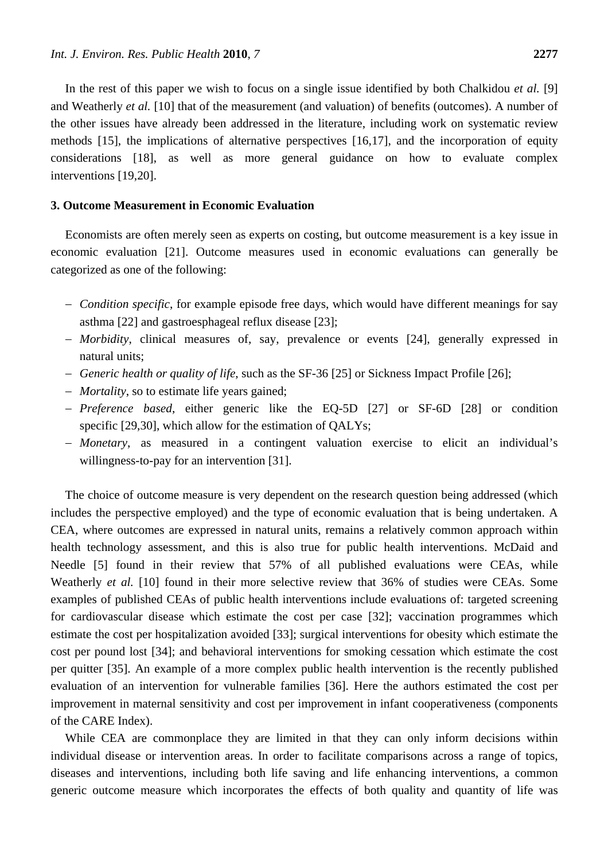In the rest of this paper we wish to focus on a single issue identified by both Chalkidou *et al.* [9] and Weatherly *et al.* [10] that of the measurement (and valuation) of benefits (outcomes). A number of the other issues have already been addressed in the literature, including work on systematic review methods [15], the implications of alternative perspectives [16,17], and the incorporation of equity considerations [18], as well as more general guidance on how to evaluate complex interventions [19,20].

#### **3. Outcome Measurement in Economic Evaluation**

Economists are often merely seen as experts on costing, but outcome measurement is a key issue in economic evaluation [21]. Outcome measures used in economic evaluations can generally be categorized as one of the following:

- *Condition specific*, for example episode free days, which would have different meanings for say asthma [22] and gastroesphageal reflux disease [23];
- *Morbidity*, clinical measures of, say, prevalence or events [24], generally expressed in natural units;
- *Generic health or quality of life*, such as the SF-36 [25] or Sickness Impact Profile [26];
- *Mortality*, so to estimate life years gained;
- *Preference based*, either generic like the EQ-5D [27] or SF-6D [28] or condition specific [29,30], which allow for the estimation of QALYs;
- *Monetary*, as measured in a contingent valuation exercise to elicit an individual's willingness-to-pay for an intervention [31].

The choice of outcome measure is very dependent on the research question being addressed (which includes the perspective employed) and the type of economic evaluation that is being undertaken. A CEA, where outcomes are expressed in natural units, remains a relatively common approach within health technology assessment, and this is also true for public health interventions. McDaid and Needle [5] found in their review that 57% of all published evaluations were CEAs, while Weatherly *et al.* [10] found in their more selective review that 36% of studies were CEAs. Some examples of published CEAs of public health interventions include evaluations of: targeted screening for cardiovascular disease which estimate the cost per case [32]; vaccination programmes which estimate the cost per hospitalization avoided [33]; surgical interventions for obesity which estimate the cost per pound lost [34]; and behavioral interventions for smoking cessation which estimate the cost per quitter [35]. An example of a more complex public health intervention is the recently published evaluation of an intervention for vulnerable families [36]. Here the authors estimated the cost per improvement in maternal sensitivity and cost per improvement in infant cooperativeness (components of the CARE Index).

While CEA are commonplace they are limited in that they can only inform decisions within individual disease or intervention areas. In order to facilitate comparisons across a range of topics, diseases and interventions, including both life saving and life enhancing interventions, a common generic outcome measure which incorporates the effects of both quality and quantity of life was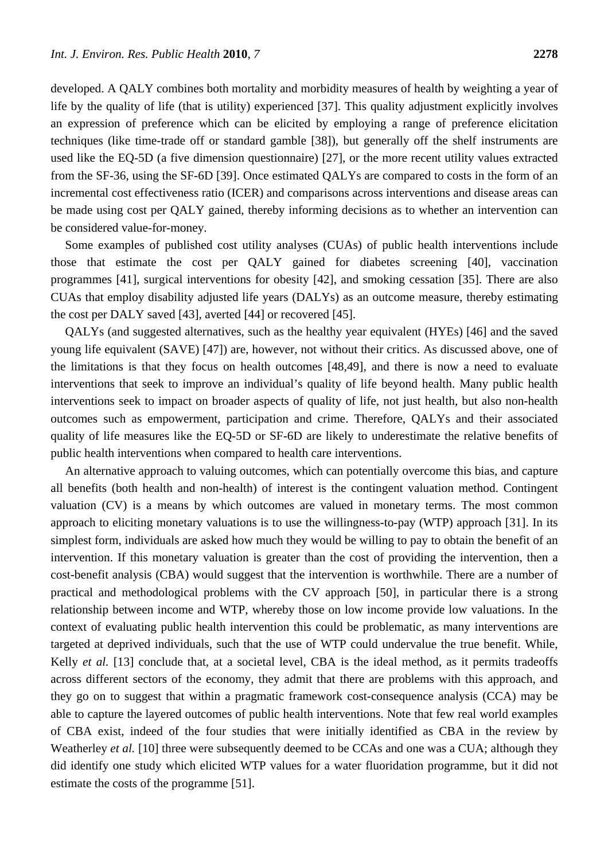developed. A QALY combines both mortality and morbidity measures of health by weighting a year of life by the quality of life (that is utility) experienced [37]. This quality adjustment explicitly involves an expression of preference which can be elicited by employing a range of preference elicitation techniques (like time-trade off or standard gamble [38]), but generally off the shelf instruments are used like the EQ-5D (a five dimension questionnaire) [27], or the more recent utility values extracted from the SF-36, using the SF-6D [39]. Once estimated QALYs are compared to costs in the form of an incremental cost effectiveness ratio (ICER) and comparisons across interventions and disease areas can be made using cost per QALY gained, thereby informing decisions as to whether an intervention can be considered value-for-money.

Some examples of published cost utility analyses (CUAs) of public health interventions include those that estimate the cost per QALY gained for diabetes screening [40], vaccination programmes [41], surgical interventions for obesity [42], and smoking cessation [35]. There are also CUAs that employ disability adjusted life years (DALYs) as an outcome measure, thereby estimating the cost per DALY saved [43], averted [44] or recovered [45].

QALYs (and suggested alternatives, such as the healthy year equivalent (HYEs) [46] and the saved young life equivalent (SAVE) [47]) are, however, not without their critics. As discussed above, one of the limitations is that they focus on health outcomes [48,49], and there is now a need to evaluate interventions that seek to improve an individual's quality of life beyond health. Many public health interventions seek to impact on broader aspects of quality of life, not just health, but also non-health outcomes such as empowerment, participation and crime. Therefore, QALYs and their associated quality of life measures like the EQ-5D or SF-6D are likely to underestimate the relative benefits of public health interventions when compared to health care interventions.

An alternative approach to valuing outcomes, which can potentially overcome this bias, and capture all benefits (both health and non-health) of interest is the contingent valuation method. Contingent valuation (CV) is a means by which outcomes are valued in monetary terms. The most common approach to eliciting monetary valuations is to use the willingness-to-pay (WTP) approach [31]. In its simplest form, individuals are asked how much they would be willing to pay to obtain the benefit of an intervention. If this monetary valuation is greater than the cost of providing the intervention, then a cost-benefit analysis (CBA) would suggest that the intervention is worthwhile. There are a number of practical and methodological problems with the CV approach [50], in particular there is a strong relationship between income and WTP, whereby those on low income provide low valuations. In the context of evaluating public health intervention this could be problematic, as many interventions are targeted at deprived individuals, such that the use of WTP could undervalue the true benefit. While, Kelly *et al.* [13] conclude that, at a societal level, CBA is the ideal method, as it permits tradeoffs across different sectors of the economy, they admit that there are problems with this approach, and they go on to suggest that within a pragmatic framework cost-consequence analysis (CCA) may be able to capture the layered outcomes of public health interventions. Note that few real world examples of CBA exist, indeed of the four studies that were initially identified as CBA in the review by Weatherley *et al.* [10] three were subsequently deemed to be CCAs and one was a CUA; although they did identify one study which elicited WTP values for a water fluoridation programme, but it did not estimate the costs of the programme [51].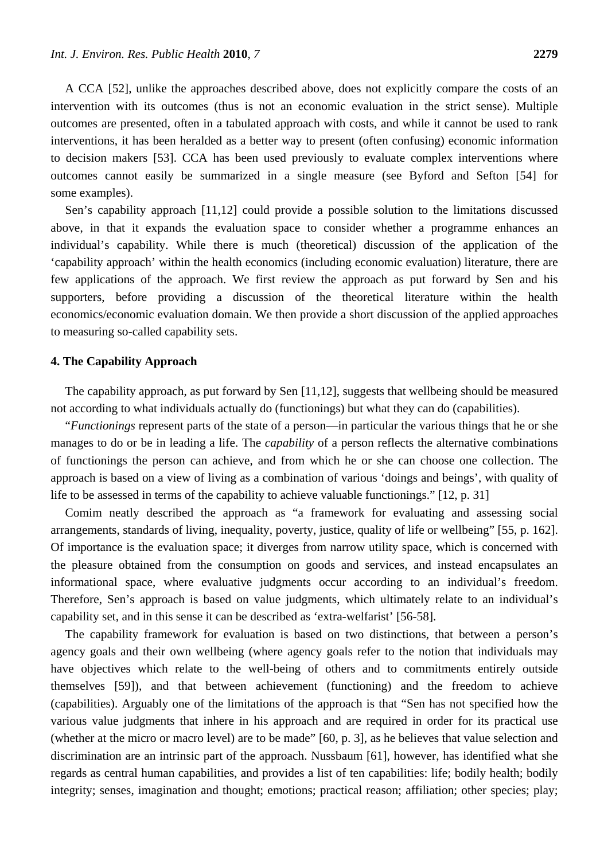A CCA [52], unlike the approaches described above, does not explicitly compare the costs of an intervention with its outcomes (thus is not an economic evaluation in the strict sense). Multiple outcomes are presented, often in a tabulated approach with costs, and while it cannot be used to rank interventions, it has been heralded as a better way to present (often confusing) economic information to decision makers [53]. CCA has been used previously to evaluate complex interventions where outcomes cannot easily be summarized in a single measure (see Byford and Sefton [54] for some examples).

Sen's capability approach [11,12] could provide a possible solution to the limitations discussed above, in that it expands the evaluation space to consider whether a programme enhances an individual's capability. While there is much (theoretical) discussion of the application of the 'capability approach' within the health economics (including economic evaluation) literature, there are few applications of the approach. We first review the approach as put forward by Sen and his supporters, before providing a discussion of the theoretical literature within the health economics/economic evaluation domain. We then provide a short discussion of the applied approaches to measuring so-called capability sets.

#### **4. The Capability Approach**

The capability approach, as put forward by Sen [11,12], suggests that wellbeing should be measured not according to what individuals actually do (functionings) but what they can do (capabilities).

"*Functionings* represent parts of the state of a person—in particular the various things that he or she manages to do or be in leading a life. The *capability* of a person reflects the alternative combinations of functionings the person can achieve, and from which he or she can choose one collection. The approach is based on a view of living as a combination of various 'doings and beings', with quality of life to be assessed in terms of the capability to achieve valuable functionings." [12, p. 31]

Comim neatly described the approach as "a framework for evaluating and assessing social arrangements, standards of living, inequality, poverty, justice, quality of life or wellbeing" [55, p. 162]. Of importance is the evaluation space; it diverges from narrow utility space, which is concerned with the pleasure obtained from the consumption on goods and services, and instead encapsulates an informational space, where evaluative judgments occur according to an individual's freedom. Therefore, Sen's approach is based on value judgments, which ultimately relate to an individual's capability set, and in this sense it can be described as 'extra-welfarist' [56-58].

The capability framework for evaluation is based on two distinctions, that between a person's agency goals and their own wellbeing (where agency goals refer to the notion that individuals may have objectives which relate to the well-being of others and to commitments entirely outside themselves [59]), and that between achievement (functioning) and the freedom to achieve (capabilities). Arguably one of the limitations of the approach is that "Sen has not specified how the various value judgments that inhere in his approach and are required in order for its practical use (whether at the micro or macro level) are to be made" [60, p. 3], as he believes that value selection and discrimination are an intrinsic part of the approach. Nussbaum [61], however, has identified what she regards as central human capabilities, and provides a list of ten capabilities: life; bodily health; bodily integrity; senses, imagination and thought; emotions; practical reason; affiliation; other species; play;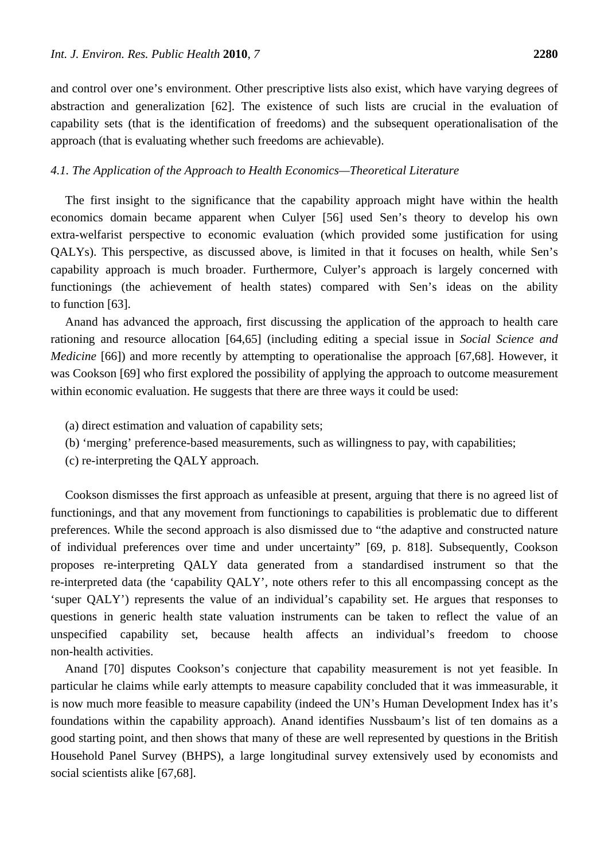and control over one's environment. Other prescriptive lists also exist, which have varying degrees of abstraction and generalization [62]. The existence of such lists are crucial in the evaluation of capability sets (that is the identification of freedoms) and the subsequent operationalisation of the approach (that is evaluating whether such freedoms are achievable).

#### *4.1. The Application of the Approach to Health Economics—Theoretical Literature*

The first insight to the significance that the capability approach might have within the health economics domain became apparent when Culyer [56] used Sen's theory to develop his own extra-welfarist perspective to economic evaluation (which provided some justification for using QALYs). This perspective, as discussed above, is limited in that it focuses on health, while Sen's capability approach is much broader. Furthermore, Culyer's approach is largely concerned with functionings (the achievement of health states) compared with Sen's ideas on the ability to function [63].

Anand has advanced the approach, first discussing the application of the approach to health care rationing and resource allocation [64,65] (including editing a special issue in *Social Science and Medicine* [66]) and more recently by attempting to operationalise the approach [67,68]. However, it was Cookson [69] who first explored the possibility of applying the approach to outcome measurement within economic evaluation. He suggests that there are three ways it could be used:

- (a) direct estimation and valuation of capability sets;
- (b) 'merging' preference-based measurements, such as willingness to pay, with capabilities;
- (c) re-interpreting the QALY approach.

Cookson dismisses the first approach as unfeasible at present, arguing that there is no agreed list of functionings, and that any movement from functionings to capabilities is problematic due to different preferences. While the second approach is also dismissed due to "the adaptive and constructed nature of individual preferences over time and under uncertainty" [69, p. 818]. Subsequently, Cookson proposes re-interpreting QALY data generated from a standardised instrument so that the re-interpreted data (the 'capability QALY', note others refer to this all encompassing concept as the 'super QALY') represents the value of an individual's capability set. He argues that responses to questions in generic health state valuation instruments can be taken to reflect the value of an unspecified capability set, because health affects an individual's freedom to choose non-health activities.

Anand [70] disputes Cookson's conjecture that capability measurement is not yet feasible. In particular he claims while early attempts to measure capability concluded that it was immeasurable, it is now much more feasible to measure capability (indeed the UN's Human Development Index has it's foundations within the capability approach). Anand identifies Nussbaum's list of ten domains as a good starting point, and then shows that many of these are well represented by questions in the British Household Panel Survey (BHPS), a large longitudinal survey extensively used by economists and social scientists alike [67,68].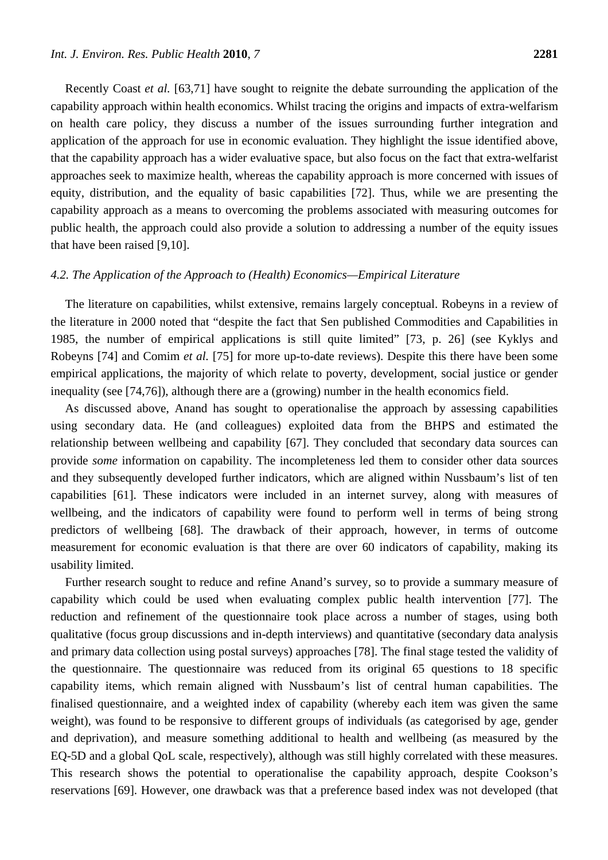Recently Coast *et al.* [63,71] have sought to reignite the debate surrounding the application of the capability approach within health economics. Whilst tracing the origins and impacts of extra-welfarism on health care policy, they discuss a number of the issues surrounding further integration and application of the approach for use in economic evaluation. They highlight the issue identified above, that the capability approach has a wider evaluative space, but also focus on the fact that extra-welfarist approaches seek to maximize health, whereas the capability approach is more concerned with issues of equity, distribution, and the equality of basic capabilities [72]. Thus, while we are presenting the capability approach as a means to overcoming the problems associated with measuring outcomes for public health, the approach could also provide a solution to addressing a number of the equity issues that have been raised [9,10].

#### *4.2. The Application of the Approach to (Health) Economics—Empirical Literature*

The literature on capabilities, whilst extensive, remains largely conceptual. Robeyns in a review of the literature in 2000 noted that "despite the fact that Sen published Commodities and Capabilities in 1985, the number of empirical applications is still quite limited" [73, p. 26] (see Kyklys and Robeyns [74] and Comim *et al.* [75] for more up-to-date reviews). Despite this there have been some empirical applications, the majority of which relate to poverty, development, social justice or gender inequality (see [74,76]), although there are a (growing) number in the health economics field.

As discussed above, Anand has sought to operationalise the approach by assessing capabilities using secondary data. He (and colleagues) exploited data from the BHPS and estimated the relationship between wellbeing and capability [67]. They concluded that secondary data sources can provide *some* information on capability. The incompleteness led them to consider other data sources and they subsequently developed further indicators, which are aligned within Nussbaum's list of ten capabilities [61]. These indicators were included in an internet survey, along with measures of wellbeing, and the indicators of capability were found to perform well in terms of being strong predictors of wellbeing [68]. The drawback of their approach, however, in terms of outcome measurement for economic evaluation is that there are over 60 indicators of capability, making its usability limited.

Further research sought to reduce and refine Anand's survey, so to provide a summary measure of capability which could be used when evaluating complex public health intervention [77]. The reduction and refinement of the questionnaire took place across a number of stages, using both qualitative (focus group discussions and in-depth interviews) and quantitative (secondary data analysis and primary data collection using postal surveys) approaches [78]. The final stage tested the validity of the questionnaire. The questionnaire was reduced from its original 65 questions to 18 specific capability items, which remain aligned with Nussbaum's list of central human capabilities. The finalised questionnaire, and a weighted index of capability (whereby each item was given the same weight), was found to be responsive to different groups of individuals (as categorised by age, gender and deprivation), and measure something additional to health and wellbeing (as measured by the EQ-5D and a global QoL scale, respectively), although was still highly correlated with these measures. This research shows the potential to operationalise the capability approach, despite Cookson's reservations [69]. However, one drawback was that a preference based index was not developed (that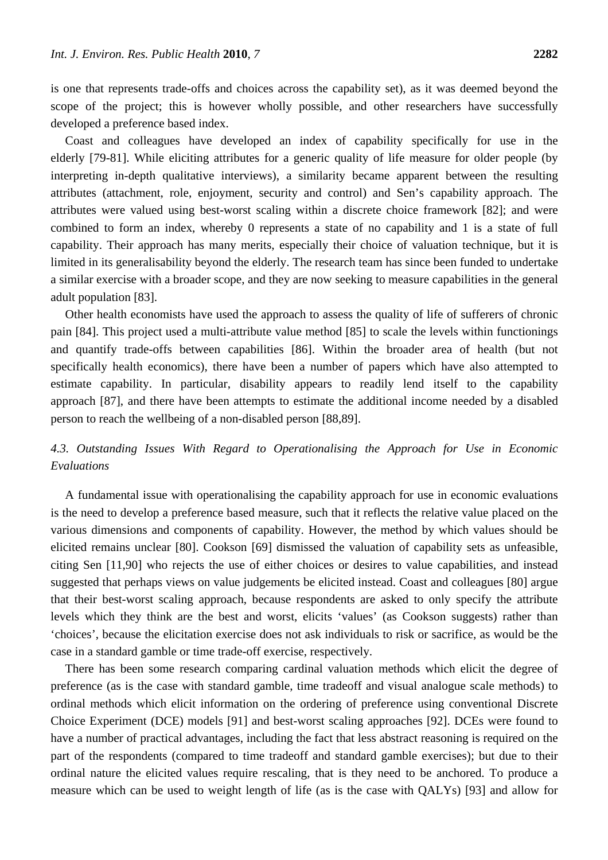is one that represents trade-offs and choices across the capability set), as it was deemed beyond the scope of the project; this is however wholly possible, and other researchers have successfully developed a preference based index.

Coast and colleagues have developed an index of capability specifically for use in the elderly [79-81]. While eliciting attributes for a generic quality of life measure for older people (by interpreting in-depth qualitative interviews), a similarity became apparent between the resulting attributes (attachment, role, enjoyment, security and control) and Sen's capability approach. The attributes were valued using best-worst scaling within a discrete choice framework [82]; and were combined to form an index, whereby 0 represents a state of no capability and 1 is a state of full capability. Their approach has many merits, especially their choice of valuation technique, but it is limited in its generalisability beyond the elderly. The research team has since been funded to undertake a similar exercise with a broader scope, and they are now seeking to measure capabilities in the general adult population [83].

Other health economists have used the approach to assess the quality of life of sufferers of chronic pain [84]. This project used a multi-attribute value method [85] to scale the levels within functionings and quantify trade-offs between capabilities [86]. Within the broader area of health (but not specifically health economics), there have been a number of papers which have also attempted to estimate capability. In particular, disability appears to readily lend itself to the capability approach [87], and there have been attempts to estimate the additional income needed by a disabled person to reach the wellbeing of a non-disabled person [88,89].

## *4.3. Outstanding Issues With Regard to Operationalising the Approach for Use in Economic Evaluations*

A fundamental issue with operationalising the capability approach for use in economic evaluations is the need to develop a preference based measure, such that it reflects the relative value placed on the various dimensions and components of capability. However, the method by which values should be elicited remains unclear [80]. Cookson [69] dismissed the valuation of capability sets as unfeasible, citing Sen [11,90] who rejects the use of either choices or desires to value capabilities, and instead suggested that perhaps views on value judgements be elicited instead. Coast and colleagues [80] argue that their best-worst scaling approach, because respondents are asked to only specify the attribute levels which they think are the best and worst, elicits 'values' (as Cookson suggests) rather than 'choices', because the elicitation exercise does not ask individuals to risk or sacrifice, as would be the case in a standard gamble or time trade-off exercise, respectively.

There has been some research comparing cardinal valuation methods which elicit the degree of preference (as is the case with standard gamble, time tradeoff and visual analogue scale methods) to ordinal methods which elicit information on the ordering of preference using conventional Discrete Choice Experiment (DCE) models [91] and best-worst scaling approaches [92]. DCEs were found to have a number of practical advantages, including the fact that less abstract reasoning is required on the part of the respondents (compared to time tradeoff and standard gamble exercises); but due to their ordinal nature the elicited values require rescaling, that is they need to be anchored. To produce a measure which can be used to weight length of life (as is the case with QALYs) [93] and allow for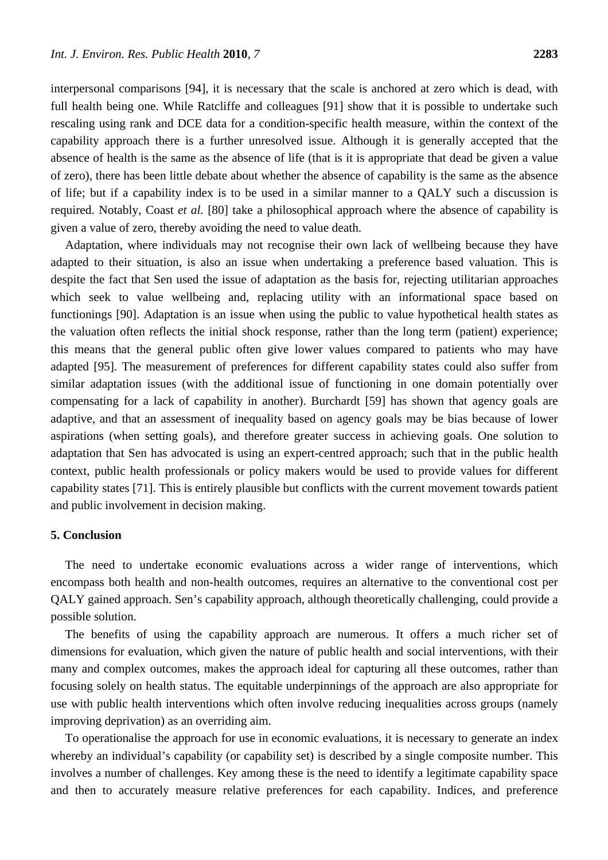interpersonal comparisons [94], it is necessary that the scale is anchored at zero which is dead, with full health being one. While Ratcliffe and colleagues [91] show that it is possible to undertake such rescaling using rank and DCE data for a condition-specific health measure, within the context of the capability approach there is a further unresolved issue. Although it is generally accepted that the absence of health is the same as the absence of life (that is it is appropriate that dead be given a value of zero), there has been little debate about whether the absence of capability is the same as the absence of life; but if a capability index is to be used in a similar manner to a QALY such a discussion is required. Notably, Coast *et al.* [80] take a philosophical approach where the absence of capability is given a value of zero, thereby avoiding the need to value death.

Adaptation, where individuals may not recognise their own lack of wellbeing because they have adapted to their situation, is also an issue when undertaking a preference based valuation. This is despite the fact that Sen used the issue of adaptation as the basis for, rejecting utilitarian approaches which seek to value wellbeing and, replacing utility with an informational space based on functionings [90]. Adaptation is an issue when using the public to value hypothetical health states as the valuation often reflects the initial shock response, rather than the long term (patient) experience; this means that the general public often give lower values compared to patients who may have adapted [95]. The measurement of preferences for different capability states could also suffer from similar adaptation issues (with the additional issue of functioning in one domain potentially over compensating for a lack of capability in another). Burchardt [59] has shown that agency goals are adaptive, and that an assessment of inequality based on agency goals may be bias because of lower aspirations (when setting goals), and therefore greater success in achieving goals. One solution to adaptation that Sen has advocated is using an expert-centred approach; such that in the public health context, public health professionals or policy makers would be used to provide values for different capability states [71]. This is entirely plausible but conflicts with the current movement towards patient and public involvement in decision making.

### **5. Conclusion**

The need to undertake economic evaluations across a wider range of interventions, which encompass both health and non-health outcomes, requires an alternative to the conventional cost per QALY gained approach. Sen's capability approach, although theoretically challenging, could provide a possible solution.

The benefits of using the capability approach are numerous. It offers a much richer set of dimensions for evaluation, which given the nature of public health and social interventions, with their many and complex outcomes, makes the approach ideal for capturing all these outcomes, rather than focusing solely on health status. The equitable underpinnings of the approach are also appropriate for use with public health interventions which often involve reducing inequalities across groups (namely improving deprivation) as an overriding aim.

To operationalise the approach for use in economic evaluations, it is necessary to generate an index whereby an individual's capability (or capability set) is described by a single composite number. This involves a number of challenges. Key among these is the need to identify a legitimate capability space and then to accurately measure relative preferences for each capability. Indices, and preference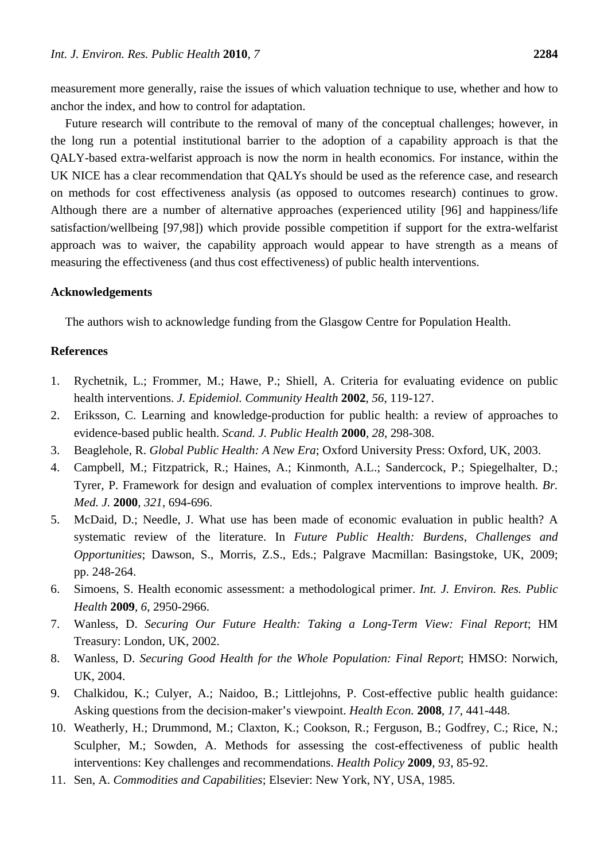measurement more generally, raise the issues of which valuation technique to use, whether and how to anchor the index, and how to control for adaptation.

Future research will contribute to the removal of many of the conceptual challenges; however, in the long run a potential institutional barrier to the adoption of a capability approach is that the QALY-based extra-welfarist approach is now the norm in health economics. For instance, within the UK NICE has a clear recommendation that QALYs should be used as the reference case, and research on methods for cost effectiveness analysis (as opposed to outcomes research) continues to grow. Although there are a number of alternative approaches (experienced utility [96] and happiness/life satisfaction/wellbeing [97,98]) which provide possible competition if support for the extra-welfarist approach was to waiver, the capability approach would appear to have strength as a means of measuring the effectiveness (and thus cost effectiveness) of public health interventions.

#### **Acknowledgements**

The authors wish to acknowledge funding from the Glasgow Centre for Population Health.

#### **References**

- 1. Rychetnik, L.; Frommer, M.; Hawe, P.; Shiell, A. Criteria for evaluating evidence on public health interventions. *J. Epidemiol. Community Health* **2002**, *56*, 119-127.
- 2. Eriksson, C. Learning and knowledge-production for public health: a review of approaches to evidence-based public health. *Scand. J. Public Health* **2000**, *28*, 298-308.
- 3. Beaglehole, R. *Global Public Health: A New Era*; Oxford University Press: Oxford, UK, 2003.
- 4. Campbell, M.; Fitzpatrick, R.; Haines, A.; Kinmonth, A.L.; Sandercock, P.; Spiegelhalter, D.; Tyrer, P. Framework for design and evaluation of complex interventions to improve health. *Br. Med. J.* **2000**, *321*, 694-696.
- 5. McDaid, D.; Needle, J. What use has been made of economic evaluation in public health? A systematic review of the literature. In *Future Public Health: Burdens, Challenges and Opportunities*; Dawson, S., Morris, Z.S., Eds.; Palgrave Macmillan: Basingstoke, UK, 2009; pp. 248-264.
- 6. Simoens, S. Health economic assessment: a methodological primer. *Int. J. Environ. Res. Public Health* **2009**, *6*, 2950-2966.
- 7. Wanless, D. *Securing Our Future Health: Taking a Long-Term View: Final Report*; HM Treasury: London, UK, 2002.
- 8. Wanless, D. *Securing Good Health for the Whole Population: Final Report*; HMSO: Norwich, UK, 2004.
- 9. Chalkidou, K.; Culyer, A.; Naidoo, B.; Littlejohns, P. Cost-effective public health guidance: Asking questions from the decision-maker's viewpoint. *Health Econ.* **2008**, *17*, 441-448.
- 10. Weatherly, H.; Drummond, M.; Claxton, K.; Cookson, R.; Ferguson, B.; Godfrey, C.; Rice, N.; Sculpher, M.; Sowden, A. Methods for assessing the cost-effectiveness of public health interventions: Key challenges and recommendations. *Health Policy* **2009**, *93*, 85-92.
- 11. Sen, A. *Commodities and Capabilities*; Elsevier: New York, NY, USA, 1985.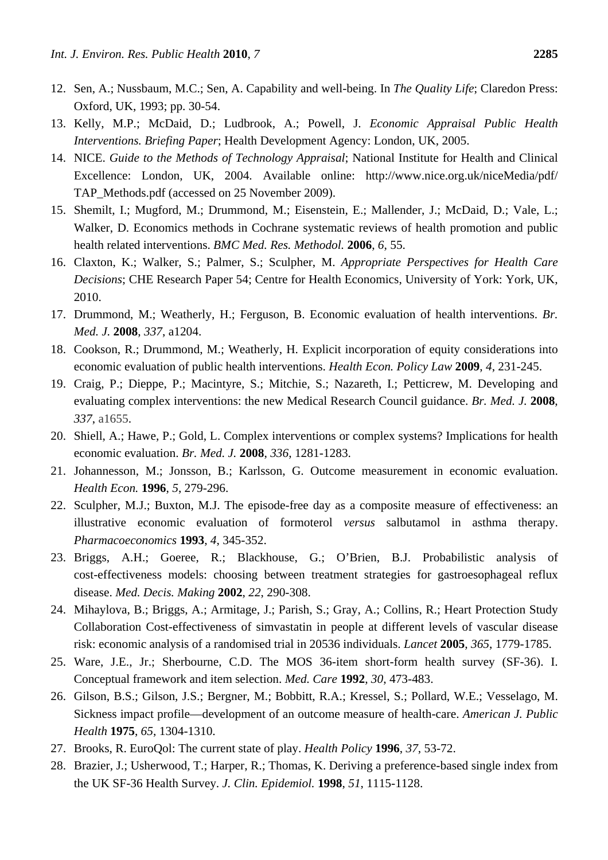- 12. Sen, A.; Nussbaum, M.C.; Sen, A. Capability and well-being. In *The Quality Life*; Claredon Press: Oxford, UK, 1993; pp. 30-54.
- 13. Kelly, M.P.; McDaid, D.; Ludbrook, A.; Powell, J. *Economic Appraisal Public Health Interventions. Briefing Paper*; Health Development Agency: London, UK, 2005.
- 14. NICE. *Guide to the Methods of Technology Appraisal*; National Institute for Health and Clinical Excellence: London, UK, 2004. Available online: http://www.nice.org.uk/niceMedia/pdf/ TAP\_Methods.pdf (accessed on 25 November 2009).
- 15. Shemilt, I.; Mugford, M.; Drummond, M.; Eisenstein, E.; Mallender, J.; McDaid, D.; Vale, L.; Walker, D. Economics methods in Cochrane systematic reviews of health promotion and public health related interventions. *BMC Med. Res. Methodol.* **2006**, *6*, 55.
- 16. Claxton, K.; Walker, S.; Palmer, S.; Sculpher, M. *Appropriate Perspectives for Health Care Decisions*; CHE Research Paper 54; Centre for Health Economics, University of York: York, UK, 2010.
- 17. Drummond, M.; Weatherly, H.; Ferguson, B. Economic evaluation of health interventions. *Br. Med. J.* **2008**, *337*, a1204.
- 18. Cookson, R.; Drummond, M.; Weatherly, H. Explicit incorporation of equity considerations into economic evaluation of public health interventions. *Health Econ. Policy Law* **2009**, *4*, 231-245.
- 19. Craig, P.; Dieppe, P.; Macintyre, S.; Mitchie, S.; Nazareth, I.; Petticrew, M. Developing and evaluating complex interventions: the new Medical Research Council guidance. *Br. Med. J.* **2008**, *337*, a1655.
- 20. Shiell, A.; Hawe, P.; Gold, L. Complex interventions or complex systems? Implications for health economic evaluation. *Br. Med. J.* **2008**, *336*, 1281-1283.
- 21. Johannesson, M.; Jonsson, B.; Karlsson, G. Outcome measurement in economic evaluation. *Health Econ.* **1996**, *5*, 279-296.
- 22. Sculpher, M.J.; Buxton, M.J. The episode-free day as a composite measure of effectiveness: an illustrative economic evaluation of formoterol *versus* salbutamol in asthma therapy. *Pharmacoeconomics* **1993**, *4*, 345-352.
- 23. Briggs, A.H.; Goeree, R.; Blackhouse, G.; O'Brien, B.J. Probabilistic analysis of cost-effectiveness models: choosing between treatment strategies for gastroesophageal reflux disease. *Med. Decis. Making* **2002**, *22*, 290-308.
- 24. Mihaylova, B.; Briggs, A.; Armitage, J.; Parish, S.; Gray, A.; Collins, R.; Heart Protection Study Collaboration Cost-effectiveness of simvastatin in people at different levels of vascular disease risk: economic analysis of a randomised trial in 20536 individuals. *Lancet* **2005**, *365*, 1779-1785.
- 25. Ware, J.E., Jr.; Sherbourne, C.D. The MOS 36-item short-form health survey (SF-36). I. Conceptual framework and item selection. *Med. Care* **1992**, *30*, 473-483.
- 26. Gilson, B.S.; Gilson, J.S.; Bergner, M.; Bobbitt, R.A.; Kressel, S.; Pollard, W.E.; Vesselago, M. Sickness impact profile—development of an outcome measure of health-care. *American J. Public Health* **1975**, *65*, 1304-1310.
- 27. Brooks, R. EuroQol: The current state of play. *Health Policy* **1996**, *37*, 53-72.
- 28. Brazier, J.; Usherwood, T.; Harper, R.; Thomas, K. Deriving a preference-based single index from the UK SF-36 Health Survey. *J. Clin. Epidemiol.* **1998**, *51*, 1115-1128.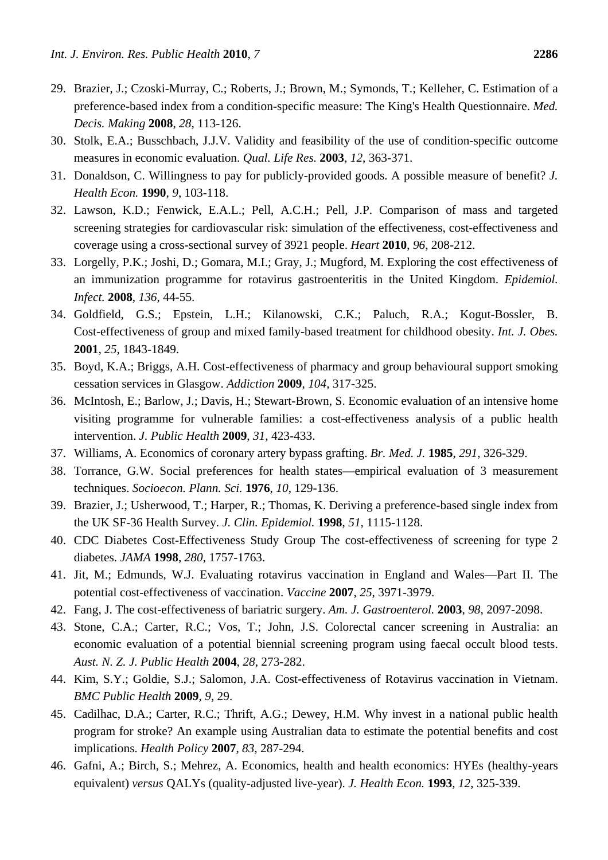- 29. Brazier, J.; Czoski-Murray, C.; Roberts, J.; Brown, M.; Symonds, T.; Kelleher, C. Estimation of a preference-based index from a condition-specific measure: The King's Health Questionnaire. *Med. Decis. Making* **2008**, *28*, 113-126.
- 30. Stolk, E.A.; Busschbach, J.J.V. Validity and feasibility of the use of condition-specific outcome measures in economic evaluation. *Qual. Life Res.* **2003**, *12*, 363-371.
- 31. Donaldson, C. Willingness to pay for publicly-provided goods. A possible measure of benefit? *J. Health Econ.* **1990**, *9*, 103-118.
- 32. Lawson, K.D.; Fenwick, E.A.L.; Pell, A.C.H.; Pell, J.P. Comparison of mass and targeted screening strategies for cardiovascular risk: simulation of the effectiveness, cost-effectiveness and coverage using a cross-sectional survey of 3921 people. *Heart* **2010**, *96*, 208-212.
- 33. Lorgelly, P.K.; Joshi, D.; Gomara, M.I.; Gray, J.; Mugford, M. Exploring the cost effectiveness of an immunization programme for rotavirus gastroenteritis in the United Kingdom. *Epidemiol. Infect.* **2008**, *136*, 44-55.
- 34. Goldfield, G.S.; Epstein, L.H.; Kilanowski, C.K.; Paluch, R.A.; Kogut-Bossler, B. Cost-effectiveness of group and mixed family-based treatment for childhood obesity. *Int. J. Obes.*  **2001**, *25*, 1843-1849.
- 35. Boyd, K.A.; Briggs, A.H. Cost-effectiveness of pharmacy and group behavioural support smoking cessation services in Glasgow. *Addiction* **2009**, *104*, 317-325.
- 36. McIntosh, E.; Barlow, J.; Davis, H.; Stewart-Brown, S. Economic evaluation of an intensive home visiting programme for vulnerable families: a cost-effectiveness analysis of a public health intervention. *J. Public Health* **2009**, *31*, 423-433.
- 37. Williams, A. Economics of coronary artery bypass grafting. *Br. Med. J.* **1985**, *291*, 326-329.
- 38. Torrance, G.W. Social preferences for health states—empirical evaluation of 3 measurement techniques. *Socioecon. Plann. Sci.* **1976**, *10*, 129-136.
- 39. Brazier, J.; Usherwood, T.; Harper, R.; Thomas, K. Deriving a preference-based single index from the UK SF-36 Health Survey. *J. Clin. Epidemiol.* **1998**, *51*, 1115-1128.
- 40. CDC Diabetes Cost-Effectiveness Study Group The cost-effectiveness of screening for type 2 diabetes. *JAMA* **1998**, *280*, 1757-1763.
- 41. Jit, M.; Edmunds, W.J. Evaluating rotavirus vaccination in England and Wales—Part II. The potential cost-effectiveness of vaccination. *Vaccine* **2007**, *25*, 3971-3979.
- 42. Fang, J. The cost-effectiveness of bariatric surgery. *Am. J. Gastroenterol.* **2003**, *98*, 2097-2098.
- 43. Stone, C.A.; Carter, R.C.; Vos, T.; John, J.S. Colorectal cancer screening in Australia: an economic evaluation of a potential biennial screening program using faecal occult blood tests. *Aust. N. Z. J. Public Health* **2004**, *28*, 273-282.
- 44. Kim, S.Y.; Goldie, S.J.; Salomon, J.A. Cost-effectiveness of Rotavirus vaccination in Vietnam. *BMC Public Health* **2009**, *9*, 29.
- 45. Cadilhac, D.A.; Carter, R.C.; Thrift, A.G.; Dewey, H.M. Why invest in a national public health program for stroke? An example using Australian data to estimate the potential benefits and cost implications. *Health Policy* **2007**, *83*, 287-294.
- 46. Gafni, A.; Birch, S.; Mehrez, A. Economics, health and health economics: HYEs (healthy-years equivalent) *versus* QALYs (quality-adjusted live-year). *J. Health Econ.* **1993**, *12*, 325-339.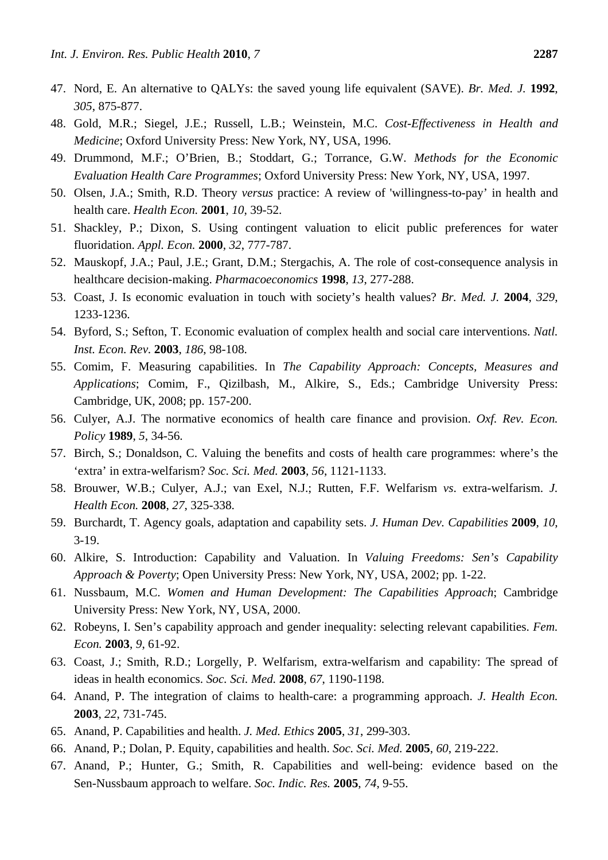- 47. Nord, E. An alternative to QALYs: the saved young life equivalent (SAVE). *Br. Med. J.* **1992**, *305*, 875-877.
- 48. Gold, M.R.; Siegel, J.E.; Russell, L.B.; Weinstein, M.C. *Cost-Effectiveness in Health and Medicine*; Oxford University Press: New York, NY, USA, 1996.
- 49. Drummond, M.F.; O'Brien, B.; Stoddart, G.; Torrance, G.W. *Methods for the Economic Evaluation Health Care Programmes*; Oxford University Press: New York, NY, USA, 1997.
- 50. Olsen, J.A.; Smith, R.D. Theory *versus* practice: A review of 'willingness-to-pay' in health and health care. *Health Econ.* **2001**, *10*, 39-52.
- 51. Shackley, P.; Dixon, S. Using contingent valuation to elicit public preferences for water fluoridation. *Appl. Econ.* **2000**, *32*, 777-787.
- 52. Mauskopf, J.A.; Paul, J.E.; Grant, D.M.; Stergachis, A. The role of cost-consequence analysis in healthcare decision-making. *Pharmacoeconomics* **1998**, *13*, 277-288.
- 53. Coast, J. Is economic evaluation in touch with society's health values? *Br. Med. J.* **2004**, *329*, 1233-1236.
- 54. Byford, S.; Sefton, T. Economic evaluation of complex health and social care interventions. *Natl. Inst. Econ. Rev.* **2003**, *186*, 98-108.
- 55. Comim, F. Measuring capabilities. In *The Capability Approach: Concepts, Measures and Applications*; Comim, F., Qizilbash, M., Alkire, S., Eds.; Cambridge University Press: Cambridge, UK, 2008; pp. 157-200.
- 56. Culyer, A.J. The normative economics of health care finance and provision. *Oxf. Rev. Econ. Policy* **1989**, *5*, 34-56.
- 57. Birch, S.; Donaldson, C. Valuing the benefits and costs of health care programmes: where's the 'extra' in extra-welfarism? *Soc. Sci. Med.* **2003**, *56*, 1121-1133.
- 58. Brouwer, W.B.; Culyer, A.J.; van Exel, N.J.; Rutten, F.F. Welfarism *vs*. extra-welfarism. *J. Health Econ.* **2008**, *27*, 325-338.
- 59. Burchardt, T. Agency goals, adaptation and capability sets. *J. Human Dev. Capabilities* **2009**, *10*, 3-19.
- 60. Alkire, S. Introduction: Capability and Valuation. In *Valuing Freedoms: Sen's Capability Approach & Poverty*; Open University Press: New York, NY, USA, 2002; pp. 1-22.
- 61. Nussbaum, M.C. *Women and Human Development: The Capabilities Approach*; Cambridge University Press: New York, NY, USA, 2000.
- 62. Robeyns, I. Sen's capability approach and gender inequality: selecting relevant capabilities. *Fem. Econ.* **2003**, *9*, 61-92.
- 63. Coast, J.; Smith, R.D.; Lorgelly, P. Welfarism, extra-welfarism and capability: The spread of ideas in health economics. *Soc. Sci. Med.* **2008**, *67*, 1190-1198.
- 64. Anand, P. The integration of claims to health-care: a programming approach. *J. Health Econ.*  **2003**, *22*, 731-745.
- 65. Anand, P. Capabilities and health. *J. Med. Ethics* **2005**, *31*, 299-303.
- 66. Anand, P.; Dolan, P. Equity, capabilities and health. *Soc. Sci. Med.* **2005**, *60*, 219-222.
- 67. Anand, P.; Hunter, G.; Smith, R. Capabilities and well-being: evidence based on the Sen-Nussbaum approach to welfare. *Soc. Indic. Res.* **2005**, *74*, 9-55.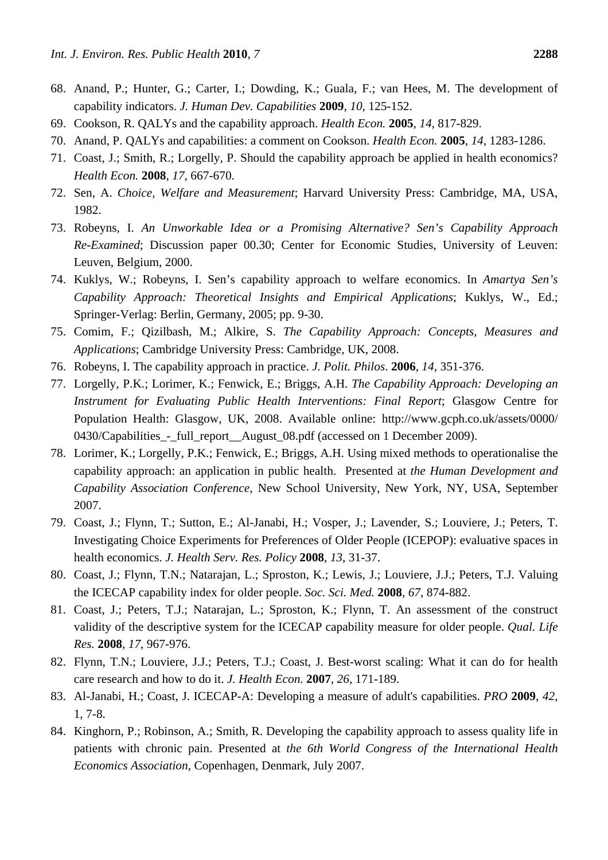- 68. Anand, P.; Hunter, G.; Carter, I.; Dowding, K.; Guala, F.; van Hees, M. The development of capability indicators. *J. Human Dev. Capabilities* **2009**, *10*, 125-152.
- 69. Cookson, R. QALYs and the capability approach. *Health Econ.* **2005**, *14*, 817-829.
- 70. Anand, P. QALYs and capabilities: a comment on Cookson. *Health Econ.* **2005**, *14*, 1283-1286.
- 71. Coast, J.; Smith, R.; Lorgelly, P. Should the capability approach be applied in health economics? *Health Econ.* **2008**, *17*, 667-670.
- 72. Sen, A. *Choice, Welfare and Measurement*; Harvard University Press: Cambridge, MA, USA, 1982.
- 73. Robeyns, I. *An Unworkable Idea or a Promising Alternative? Sen's Capability Approach Re-Examined*; Discussion paper 00.30; Center for Economic Studies, University of Leuven: Leuven, Belgium, 2000.
- 74. Kuklys, W.; Robeyns, I. Sen's capability approach to welfare economics. In *Amartya Sen's Capability Approach: Theoretical Insights and Empirical Applications*; Kuklys, W., Ed.; Springer-Verlag: Berlin, Germany, 2005; pp. 9-30.
- 75. Comim, F.; Qizilbash, M.; Alkire, S. *The Capability Approach: Concepts, Measures and Applications*; Cambridge University Press: Cambridge, UK, 2008.
- 76. Robeyns, I. The capability approach in practice. *J. Polit. Philos*. **2006**, *14*, 351-376.
- 77. Lorgelly, P.K.; Lorimer, K.; Fenwick, E.; Briggs, A.H. *The Capability Approach: Developing an Instrument for Evaluating Public Health Interventions: Final Report*; Glasgow Centre for Population Health: Glasgow, UK, 2008. Available online: http://www.gcph.co.uk/assets/0000/ 0430/Capabilities\_-\_full\_report\_\_August\_08.pdf (accessed on 1 December 2009).
- 78. Lorimer, K.; Lorgelly, P.K.; Fenwick, E.; Briggs, A.H. Using mixed methods to operationalise the capability approach: an application in public health. Presented at *the Human Development and Capability Association Conference*, New School University, New York, NY, USA, September 2007.
- 79. Coast, J.; Flynn, T.; Sutton, E.; Al-Janabi, H.; Vosper, J.; Lavender, S.; Louviere, J.; Peters, T. Investigating Choice Experiments for Preferences of Older People (ICEPOP): evaluative spaces in health economics. *J. Health Serv. Res. Policy* **2008**, *13*, 31-37.
- 80. Coast, J.; Flynn, T.N.; Natarajan, L.; Sproston, K.; Lewis, J.; Louviere, J.J.; Peters, T.J. Valuing the ICECAP capability index for older people. *Soc. Sci. Med.* **2008**, *67*, 874-882.
- 81. Coast, J.; Peters, T.J.; Natarajan, L.; Sproston, K.; Flynn, T. An assessment of the construct validity of the descriptive system for the ICECAP capability measure for older people. *Qual. Life Res.* **2008**, *17*, 967-976.
- 82. Flynn, T.N.; Louviere, J.J.; Peters, T.J.; Coast, J. Best-worst scaling: What it can do for health care research and how to do it. *J. Health Econ.* **2007**, *26*, 171-189.
- 83. Al-Janabi, H.; Coast, J. ICECAP-A: Developing a measure of adult's capabilities. *PRO* **2009**, *42*, 1, 7-8.
- 84. Kinghorn, P.; Robinson, A.; Smith, R. Developing the capability approach to assess quality life in patients with chronic pain. Presented at *the 6th World Congress of the International Health Economics Association*, Copenhagen, Denmark, July 2007.